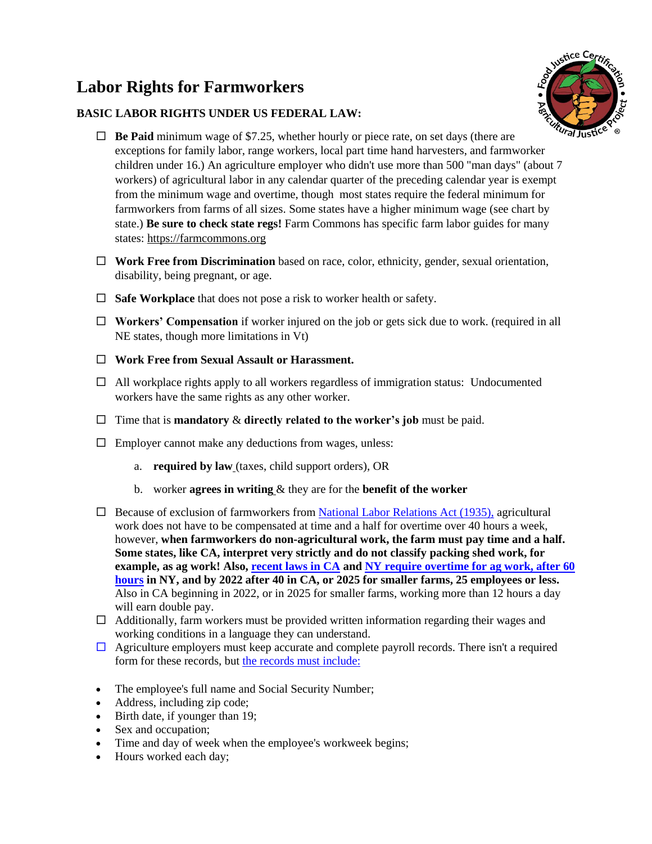## **Labor Rights for Farmworkers**

## **BASIC LABOR RIGHTS UNDER US FEDERAL LAW:**



- $\Box$  **Be Paid** minimum wage of \$7.25, whether hourly or piece rate, on set days (there are exceptions for family labor, range workers, local part time hand harvesters, and farmworker children under 16.) An agriculture employer who didn't use more than 500 "man days" (about 7 workers) of agricultural labor in any calendar quarter of the preceding calendar year is exempt from the minimum wage and overtime, though most states require the federal minimum for farmworkers from farms of all sizes. Some states have a higher minimum wage (see chart by state.) **Be sure to check state regs!** Farm Commons has specific farm labor guides for many states: https://farmcommons.org
- **Work Free from Discrimination** based on race, color, ethnicity, gender, sexual orientation, disability, being pregnant, or age.
- **Safe Workplace** that does not pose a risk to worker health or safety.
- □ **Workers' Compensation** if worker injured on the job or gets sick due to work. (required in all NE states, though more limitations in Vt)
- **Work Free from Sexual Assault or Harassment.**
- $\Box$  All workplace rights apply to all workers regardless of immigration status: Undocumented workers have the same rights as any other worker.
- $\Box$  Time that is **mandatory**  $\&$  **directly related to the worker's job** must be paid.
- $\Box$  Employer cannot make any deductions from wages, unless:
	- a. **required by law** (taxes, child support orders), OR
	- b. worker **agrees in writing** & they are for the **benefit of the worker**
- $\Box$  Because of exclusion of farmworkers from [National Labor Relations Act \(1935\),](https://www.nlrb.gov/how-we-work/national-labor-relations-act) agricultural work does not have to be compensated at time and a half for overtime over 40 hours a week, however, **when farmworkers do non-agricultural work, the farm must pay time and a half. Some states, like CA, interpret very strictly and do not classify packing shed work, for example, as ag work! Also, [recent laws in CA](https://www.dir.ca.gov/dlse/Overtime-for-Agricultural-Workers.html) an[d NY require overtime for ag work, after 60](https://www.labor.ny.gov/immigrants/farm-laborer-fair-labor-practices-act.shtm)  [hours](https://www.labor.ny.gov/immigrants/farm-laborer-fair-labor-practices-act.shtm) in NY, and by 2022 after 40 in CA, or 2025 for smaller farms, 25 employees or less.**  Also in CA beginning in 2022, or in 2025 for smaller farms, working more than 12 hours a day will earn double pay.
- $\Box$  Additionally, farm workers must be provided written information regarding their wages and working conditions in a language they can understand.
- $\Box$  Agriculture employers must keep accurate and complete payroll records. There isn't a required form for these records, but [the records must include:](http://www.dol.gov/whd/regs/compliance/whdfs21.pdf)
- The employee's full name and Social Security Number;
- Address, including zip code;
- Birth date, if younger than 19;
- Sex and occupation;
- Time and day of week when the employee's workweek begins;
- Hours worked each day;